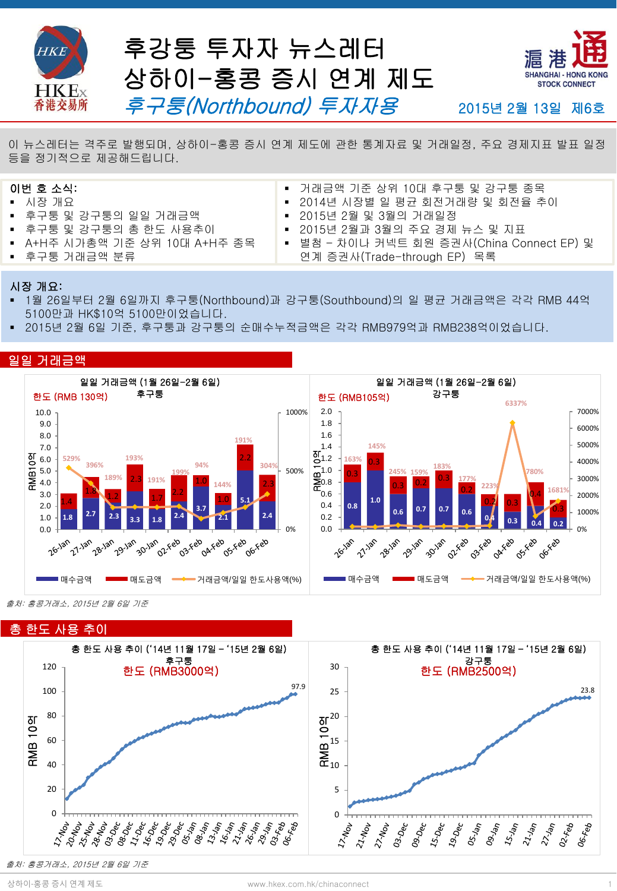



2015년 2월 13일 제6호

.<br>이 뉴스레터는 격주로 발행되며, 상하이-홍콩 증시 연계 제도에 관한 통계자료 및 거래일정, 주요 경제지표 발표 일정 등을 정기적으로 제공해드립니다.

## 이번 호 소식:

- 시장 개요
- 후구퉁 및 강구퉁의 일일 거래금액
- 후구퉁 및 강구퉁의 총 한도 사용추이
- A+H주 시가총액 기준 상위 10대 A+H주 종목
- 후구퉁 거래금액 분류
- 거래금액 기준 상위 10대 후구퉁 및 강구퉁 종목
- 2014년 시장별 일 평균 회전거래량 및 회전율 추이
- 2015년 2월 및 3월의 거래일정
- 2015년 2월과 3월의 주요 경제 뉴스 및 지표
- 별첨 차이나 커넥트 회원 증권사(China Connect EP) 및 연계 증권사(Trade-through EP) 목록

#### 시장 개요:

- 1월 26일부터 2월 6일까지 후구퉁(Northbound)과 강구퉁(Southbound)의 일 평균 거래금액은 각각 RMB 44억 5100만과 HK\$10억 5100만이었습니다.
- 2015년 2월 6일 기준, 후구퉁과 강구퉁의 순매수누적금액은 각각 RMB979억과 RMB238억이었습니다.

#### 일일 거래금액



출처: 홍콩거래소, 2015년 2월 6일 기준



출처: 홍콩거래소, 2015년 2월 6일 기준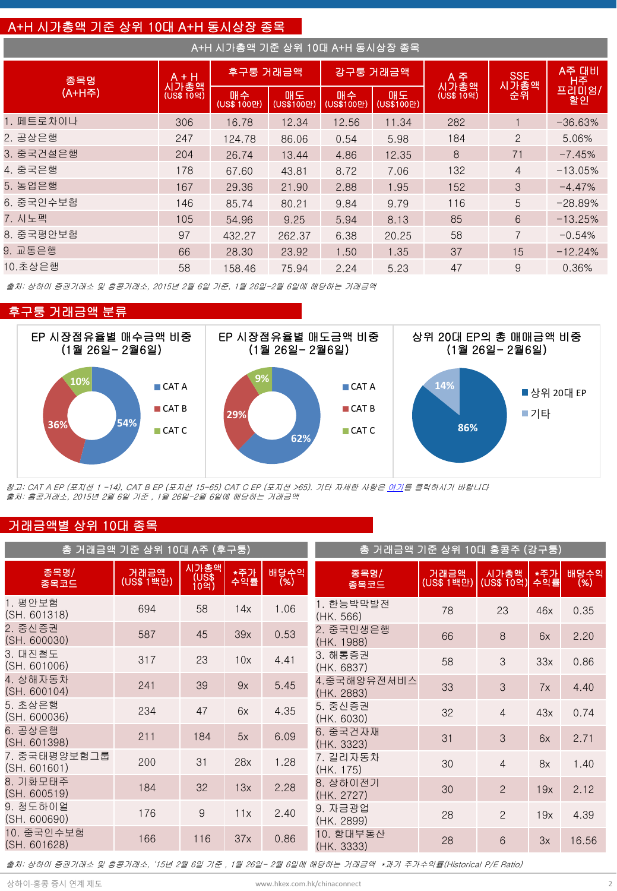## A+H 시가총액 기준 상위 10대 A+H 동시상장 종목

| A+H 시가총액 기준 상위 10대 A+H 동시상장 종목 |                    |                   |                  |                  |                    |                    |                   |           |
|--------------------------------|--------------------|-------------------|------------------|------------------|--------------------|--------------------|-------------------|-----------|
| 종목명                            | A + H              | 후구퉁 거래금액          |                  |                  | 강구퉁 거래금액           | A 주                | SSE<br>시가총액<br>순위 | A주 대비     |
| (A+H주)                         | 시가총액<br>(US\$ 109) | 매수<br>(US\$ 100만) | 매도<br>(US\$100만) | 매수<br>(US\$100만) | 매도<br>$(US$100$ 만) | 시가총액<br>(US\$ 10억) |                   | 할인        |
| 1. 페트로차이나                      | 306                | 16.78             | 12.34            | 12.56            | 11.34              | 282                |                   | $-36.63%$ |
| 2. 공상은행                        | 247                | 124.78            | 86.06            | 0.54             | 5.98               | 184                | $\overline{2}$    | 5.06%     |
| 3. 중국건설은행                      | 204                | 26.74             | 13.44            | 4.86             | 12.35              | 8                  | 71                | $-7.45%$  |
| 4. 중국은행                        | 178                | 67.60             | 43.81            | 8.72             | 7.06               | 132                | $\overline{4}$    | $-13.05%$ |
| 5. 농업은행                        | 167                | 29.36             | 21.90            | 2.88             | 1.95               | 152                | 3                 | $-4.47%$  |
| 6. 중국인수보험                      | 146                | 85.74             | 80.21            | 9.84             | 9.79               | 116                | 5                 | $-28.89%$ |
| 7. 시노펙                         | 105                | 54.96             | 9.25             | 5.94             | 8.13               | 85                 | 6                 | $-13.25%$ |
| 8. 중국평안보험                      | 97                 | 432.27            | 262.37           | 6.38             | 20.25              | 58                 | $\overline{7}$    | $-0.54%$  |
| 9. 교통은행                        | 66                 | 28.30             | 23.92            | 1.50             | 1.35               | 37                 | 15                | $-12.24%$ |
| 10.초상은행                        | 58                 | 158.46            | 75.94            | 2.24             | 5.23               | 47                 | 9                 | 0.36%     |

출처: 상하이 증권거래소 및 홍콩거래소, 2015년 2월 6일 기준, 1월 26일-2월 6일에 해당하는 거래금액





참고: CAT A EP (포지션 1 -14), CAT B EP (포지션 15-65) CAT C EP (포지션 >65). 기타 자세한 사항은 [여기](http://www.hkex.com.hk/eng/stat/epstat/exreport.htm)를 클릭하시기 바랍니다 출처: 홍콩거래소, 2015년 2월 6일 기준 , 1월 26일-2월 6일에 해당하는 거래금액

## 거래금액별 상위 10대 종목

| 총 거래금액 기준 상위 10대 A주 (후구퉁)    | 총 거래금액 기준 상위 10대 홍콩주 (강구퉁) |                        |            |             |                           |                    |                     |            |             |
|------------------------------|----------------------------|------------------------|------------|-------------|---------------------------|--------------------|---------------------|------------|-------------|
| 종목명/<br>종목코드                 | 거래금액<br>(US\$ 1백만)         | 시가총액<br>(US\$)<br>10억) | *주가<br>수익률 | 배당수익<br>(%) | 종목명/<br>종목코드              | 거래금액<br>(US\$ 1백만) | 시가총액<br>'(US\$ 10억) | *주가<br>수익률 | 배당수익<br>(%) |
| 1. 평안보험<br>(SH, 601318)      | 694                        | 58                     | 14x        | 1.06        | 1. 한능박막발전<br>(HK. 566)    | 78                 | 23                  | 46x        | 0.35        |
| 2. 중신증권<br>(SH. 600030)      | 587                        | 45                     | 39x        | 0.53        | 2. 중국민생은행<br>(HK. 1988)   | 66                 | 8                   | 6x         | 2.20        |
| 3. 대진철도<br>(SH. 601006)      | 317                        | 23                     | 10x        | 4.41        | 3. 해통증권<br>(HK. 6837)     | 58                 | 3                   | 33x        | 0.86        |
| 4. 상해자동차<br>(SH. 600104)     | 241                        | 39                     | 9x         | 5.45        | 4.중국해양유전서비스<br>(HK. 2883) | 33                 | 3                   | 7x         | 4.40        |
| 5. 초상은행<br>(SH. 600036)      | 234                        | 47                     | 6x         | 4.35        | 5. 중신증권<br>(HK. 6030)     | 32                 | $\overline{4}$      | 43x        | 0.74        |
| 6. 공상은행<br>(SH. 601398)      | 211                        | 184                    | 5x         | 6.09        | 6. 중국건자재<br>(HK. 3323)    | 31                 | 3                   | 6x         | 2.71        |
| 7. 중국태평양보험그룹<br>(SH. 601601) | 200                        | 31                     | 28x        | 1.28        | 7. 길리자동차<br>(HK. 175)     | 30                 | $\overline{4}$      | 8x         | 1.40        |
| 8. 기화모태주<br>(SH. 600519)     | 184                        | 32                     | 13x        | 2.28        | 8. 상하이전기<br>(HK. 2727)    | 30                 | $\overline{2}$      | 19x        | 2.12        |
| 9. 청도하이얼<br>(SH. 600690)     | 176                        | 9                      | 11x        | 2.40        | 9. 자금광업<br>(HK. 2899)     | 28                 | $\overline{2}$      | 19x        | 4.39        |
| 10. 중국인수보험<br>(SH. 601628)   | 166                        | 116                    | 37x        | 0.86        | 10. 항대부동산<br>(HK. 3333)   | 28                 | 6                   | 3x         | 16.56       |

출처: 상하이 증권거래소 및 홍콩거래소, '15년 2월 6일 기준 , 1월 26일- 2월 6일에 해당하는 거래금액 \*과거 주가수익률(Historical P/E Ratio)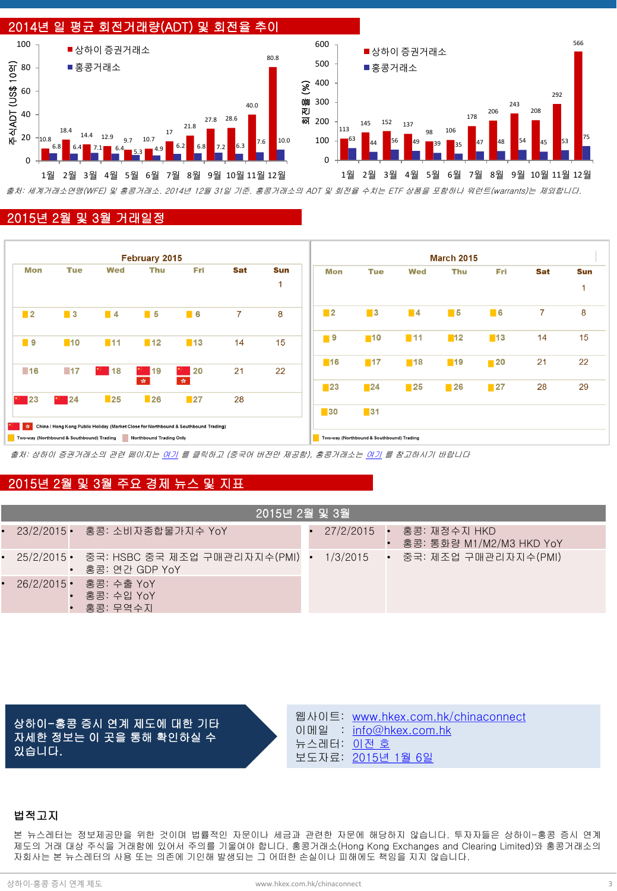

### 2015년 2월 및 3월 거래일정

| February 2015     |                                           |                   |                         |                                                                                     | <b>March 2015</b> |            |                   |                                           |                   |                   |                   |                |            |
|-------------------|-------------------------------------------|-------------------|-------------------------|-------------------------------------------------------------------------------------|-------------------|------------|-------------------|-------------------------------------------|-------------------|-------------------|-------------------|----------------|------------|
| Mon               | <b>Tue</b>                                | Wed               | Thu                     | Fri                                                                                 | Sat               | <b>Sun</b> | Mon               | <b>Tue</b>                                | <b>Wed</b>        | <b>Thu</b>        | Fri               | <b>Sat</b>     | <b>Sun</b> |
|                   |                                           |                   |                         |                                                                                     |                   | 1          |                   |                                           |                   |                   |                   |                | и          |
| $\blacksquare$ 2  | $\blacksquare$ 3                          | $\blacksquare$ 4  | $\blacksquare$ 5        | $\blacksquare$ 6                                                                    | $\overline{7}$    | 8          | $\blacksquare$    | $\blacksquare$ 3                          | $\blacksquare$ 4  | $\blacksquare$ 5  | $\blacksquare$ 6  | $\overline{7}$ | 8          |
| ■ 9               | $\blacksquare$ 10                         | $\blacksquare$ 11 | $\blacksquare$ 12       | $\blacksquare$ 13                                                                   | 14                | 15         | ■ 9               | $\blacksquare$ 10                         | $\blacksquare$ 11 | $\blacksquare$ 12 | $\blacksquare$ 13 | 14             | 15         |
| $\blacksquare$ 16 | $-17$                                     | $\frac{1}{2}$ 18  | $\frac{1}{2}$ 19        | 20                                                                                  | 21                | 22         | ■16               | $\blacksquare$ 17                         | $\blacksquare$ 18 | $\blacksquare$ 19 | $\blacksquare$ 20 | 21             | 22         |
|                   |                                           |                   | 女。                      | $\mathcal{R}^{\mathcal{C}}$                                                         |                   |            | $\blacksquare$ 23 | $\blacksquare$ 24                         | $\blacksquare$ 25 | $\blacksquare$ 26 | $\blacksquare$ 27 | 28             | 29         |
| $*$ 23            | $\blacksquare$ 24                         | $\blacksquare$ 25 | $\blacksquare$ 26       | $\blacksquare$ 27                                                                   | 28                |            | $\blacksquare$ 30 | $\blacksquare$ 31                         |                   |                   |                   |                |            |
| 女!                |                                           |                   |                         | China / Hong Kong Public Holiday (Market Close for Northbound & Southbound Trading) |                   |            |                   |                                           |                   |                   |                   |                |            |
|                   | Two-way (Northbound & Southbound) Trading |                   | Northbound Trading Only |                                                                                     |                   |            |                   | Two-way (Northbound & Southbound) Trading |                   |                   |                   |                |            |

출처: 상하이 증권거래소의 관련 페이지는 [여기](http://www.sse.com.cn/marketservices/hkexsc/home/holiday/) 를 클릭하고 (중국어 버전만 제공함), 홍콩거래소는 [여기](http://www.hkex.com.hk/eng/market/sec_tradinfra/chinaconnect/Calendar.htm) 를 참고하시기 바랍니다

## 2015년 2월 및 3월 주요 경제 뉴스 및 지표

| 2015년 2월 및 3월 |                                                                                                 |  |  |  |                                                      |  |  |
|---------------|-------------------------------------------------------------------------------------------------|--|--|--|------------------------------------------------------|--|--|
|               | • 23/2/2015• 홍콩: 소비자종합물가지수 YoY                                                                  |  |  |  | 27/2/2015 • 홍콩: 재정수지 HKD<br>홍콩: 통화량 M1/M2/M3 HKD YoY |  |  |
|               | • 25/2/2015• 중국: HSBC 중국 제조업 구매관리자지수(PMI) • 1/3/2015 • 중국: 제조업 구매관리자지수(PMI)<br>- 홍콩: 연간 GDP YoY |  |  |  |                                                      |  |  |
|               | • 26/2/2015• 홍콩: 수출 YoY<br>홍콩: 수입 YoY<br>홍콩: 무역수지                                               |  |  |  |                                                      |  |  |

상하이-홍콩 증시 연계 제도에 대한 기타 자세한 정보는 이 곳을 통해 확인하실 수 있습니다.

웹사이트: [www.hkex.com.hk/chinaconnect](http://www.hkex.com.hk/chinaconnect) 이메일 : [info@hkex.com.hk](mailto:info@hkex.com.hk) 뉴스레터: <u>[이전](http://www.hkex.com.hk/eng/market/sec_tradinfra/chinaconnect/Newsletter.htm) [호](http://www.hkex.com.hk/eng/market/sec_tradinfra/chinaconnect/Newsletter.htm)</u> 보도자료: [2015](http://www.hkex.com.hk/eng/newsconsul/hkexnews/2014/141214news.htm)[년](http://www.hkex.com.hk/eng/newsconsul/hkexnews/2014/141214news.htm) [1](http://www.hkex.com.hk/eng/newsconsul/hkexnews/2014/141214news.htm)[월](http://www.hkex.com.hk/eng/newsconsul/hkexnews/2014/141214news.htm) [6](http://www.hkex.com.hk/eng/newsconsul/hkexnews/2014/141214news.htm)[일](http://www.hkex.com.hk/eng/newsconsul/hkexnews/2014/141214news.htm)

### 법적고지

본 뉴스레터는 정보제공만을 위한 것이며 법률적인 자문이나 세금과 관련한 자문에 해당하지 않습니다. 투자자들은 상하이-홍콩 증시 연계 제도의 거래 대상 주식을 거래함에 있어서 주의를 기울여야 합니다. 홍콩거래소(Hong Kong Exchanges and Clearing Limited)와 홍콩거래소의 자회사는 본 뉴스레터의 사용 또는 의존에 기인해 발생되는 그 어떠한 손실이나 피해에도 책임을 지지 않습니다.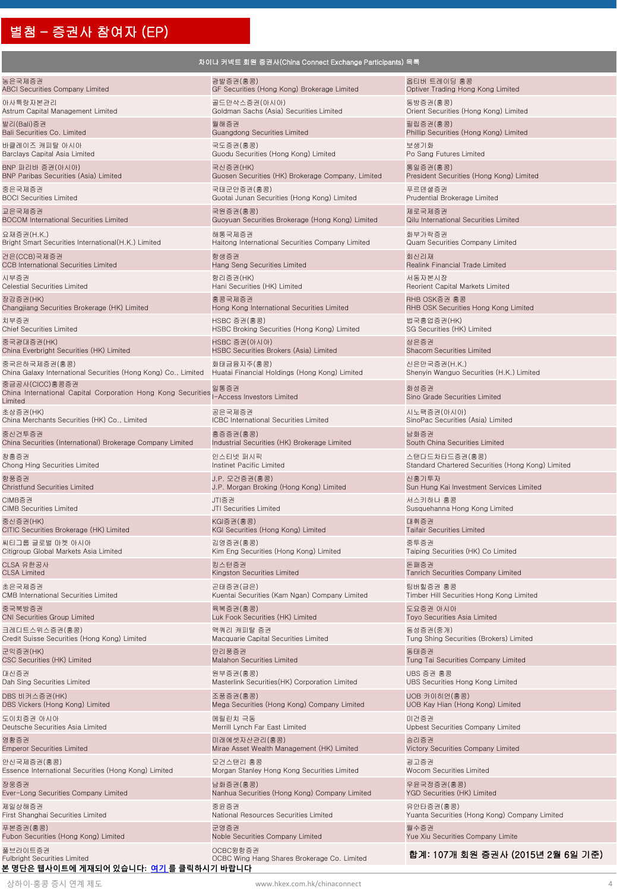# 별첨 – 증권사 참여자 (EP)

|                                                                                           | 차이나 커넥트 회원 증권사(China Connect Exchange Participants) 목록  |                                                   |
|-------------------------------------------------------------------------------------------|---------------------------------------------------------|---------------------------------------------------|
| 농은국제증권                                                                                    | 광발증권(홍콩)                                                | 옵티버 트레이딩 홍콩                                       |
| <b>ABCI Securities Company Limited</b>                                                    | GF Securities (Hong Kong) Brokerage Limited             | Optiver Trading Hong Kong Limited                 |
| 아사특랑자본관리                                                                                  | 골드만삭스증권(아시아)                                            | 동방증권(홍콩)                                          |
| Astrum Capital Management Limited                                                         | Goldman Sachs (Asia) Securities Limited                 | Orient Securities (Hong Kong) Limited             |
| 발리(Bali)증권                                                                                | 월해증권                                                    | 필립증권(홍콩)                                          |
| Bali Securities Co. Limited                                                               | Guangdong Securities Limited                            | Phillip Securities (Hong Kong) Limited            |
| 바클레이즈 캐피탈 아시아                                                                             | 국도증권(홍콩)                                                | 보생기화                                              |
| Barclays Capital Asia Limited                                                             | Guodu Securities (Hong Kong) Limited                    | Po Sang Futures Limited                           |
| BNP 파리바 증권(아시아)                                                                           | 국신증권(HK)                                                | 통일증권(홍콩)                                          |
| BNP Paribas Securities (Asia) Limited                                                     | Guosen Securities (HK) Brokerage Company, Limited       | President Securities (Hong Kong) Limited          |
| 중은국제증권                                                                                    | 국태군안증권(홍콩)                                              | 푸르덴셜증권                                            |
| <b>BOCI Securities Limited</b>                                                            | Guotai Junan Securities (Hong Kong) Limited             | Prudential Brokerage Limited                      |
| 교은국제증권                                                                                    | 국원증권(홍콩)                                                | 제로국제증권                                            |
| <b>BOCOM International Securities Limited</b>                                             | Guoyuan Securities Brokerage (Hong Kong) Limited        | Qilu International Securities Limited             |
| 요재증권(H.K.)                                                                                | 해통국제증권                                                  | 화부가락증권                                            |
| Bright Smart Securities International(H.K.) Limited                                       | Haitong International Securities Company Limited        | Quam Securities Company Limited                   |
| 건은(CCB)국제증권                                                                               | 항생증권                                                    | 회신리재                                              |
| <b>CCB International Securities Limited</b>                                               | Hang Seng Securities Limited                            | Realink Financial Trade Limited                   |
| 시부증권                                                                                      | 항리증권(HK)                                                | 서동자본시장                                            |
| Celestial Securities Limited                                                              | Hani Securities (HK) Limited                            | Reorient Capital Markets Limited                  |
| 장강증권(HK)                                                                                  | 홍콩국제증권                                                  | RHB OSK증권 홍콩                                      |
| Changjiang Securities Brokerage (HK) Limited                                              | Hong Kong International Securities Limited              | RHB OSK Securities Hong Kong Limited              |
| 치부증권                                                                                      | HSBC 증권(홍콩)                                             | 법국흥업증권(HK)                                        |
| <b>Chief Securities Limited</b>                                                           | HSBC Broking Securities (Hong Kong) Limited             | SG Securities (HK) Limited                        |
| 중국광대증권(HK)                                                                                | HSBC 증권(아시아)                                            | 상은증권                                              |
| China Everbright Securities (HK) Limited                                                  | HSBC Securities Brokers (Asia) Limited                  | Shacom Securities Limited                         |
| 중국은하국제증권(홍콩)                                                                              | 화태금융지주(홍콩)                                              | 신은만국증권(H.K.)                                      |
| China Galaxy International Securities (Hong Kong) Co., Limited                            | Huatai Financial Holdings (Hong Kong) Limited           | Shenyin Wanguo Securities (H.K.) Limited          |
| 중금공사(CICC)홍콩증권<br>China International Capital Corporation Hong Kong Securities<br>Limited | 일통증권<br>I-Access Investors Limited                      | 화성증권<br>Sino Grade Securities Limited             |
| 초상증권(HK)                                                                                  | 공은국제증권                                                  | 시노팩증권(아시아)                                        |
| China Merchants Securities (HK) Co., Limited                                              | <b>ICBC</b> International Securities Limited            | SinoPac Securities (Asia) Limited                 |
| 중신건투증권                                                                                    | 흥증증권(홍콩)                                                | 남화증권                                              |
| China Securities (International) Brokerage Company Limited                                | Industrial Securities (HK) Brokerage Limited            | South China Securities Limited                    |
| 창흥증권                                                                                      | 인스티넷 퍼시픽                                                | 스탠다드차타드증권(홍콩)                                     |
| Chong Hing Securities Limited                                                             | Instinet Pacific Limited                                | Standard Chartered Securities (Hong Kong) Limited |
| 항풍증권                                                                                      | J.P. 모건증권(홍콩)                                           | 신홍기투자                                             |
| Christfund Securities Limited                                                             | J.P. Morgan Broking (Hong Kong) Limited                 | Sun Hung Kai Investment Services Limited          |
| CIMB증권                                                                                    | JTI증권                                                   | 서스키하나 홍콩                                          |
| <b>CIMB Securities Limited</b>                                                            | JTI Securities Limited                                  | Susquehanna Hong Kong Limited                     |
| 중신증권(HK)                                                                                  | KGI증권(홍콩)                                               | 대휘증권                                              |
| CITIC Securities Brokerage (HK) Limited                                                   | KGI Securities (Hong Kong) Limited                      | <b>Taifair Securities Limited</b>                 |
| 씨티그룹 글로벌 마켓 아시아                                                                           | 김영증권(홍콩)                                                | 중투증권                                              |
| Citigroup Global Markets Asia Limited                                                     | Kim Eng Securities (Hong Kong) Limited                  | Taiping Securities (HK) Co Limited                |
| CLSA 유한공사                                                                                 | 킹스턴증권                                                   | 돈패증권                                              |
| CLSA Limited                                                                              | Kingston Securities Limited                             | Tanrich Securities Company Limited                |
| 초은국제증권                                                                                    | 곤태증권(금은)                                                | 팀버힐증권 홍콩                                          |
| CMB International Securities Limited                                                      | Kuentai Securities (Kam Ngan) Company Limited           | Timber Hill Securities Hong Kong Limited          |
| 중국북방증권                                                                                    | 육복증권(홍콩)                                                | 도요증권 아시아                                          |
| CNI Securities Group Limited                                                              | Luk Fook Securities (HK) Limited                        | Toyo Securities Asia Limited                      |
| 크레디트스위스증권(홍콩)                                                                             | 맥쿼리 캐피탈 증권                                              | 동성증권(중개)                                          |
| Credit Suisse Securities (Hong Kong) Limited                                              | Macquarie Capital Securities Limited                    | Tung Shing Securities (Brokers) Limited           |
| 군익증권(HK)                                                                                  | 만리풍증권                                                   | 동태증권                                              |
| CSC Securities (HK) Limited                                                               | Malahon Securities Limited                              | Tung Tai Securities Company Limited               |
| 대신증권                                                                                      | 원부증권(홍콩)                                                | UBS 증권 홍콩                                         |
| Dah Sing Securities Limited                                                               | Masterlink Securities(HK) Corporation Limited           | UBS Securities Hong Kong Limited                  |
| DBS 비커스증권(HK)                                                                             | 조풍증권(홍콩)                                                | UOB 카이히언(홍콩)                                      |
| DBS Vickers (Hong Kong) Limited                                                           | Mega Securities (Hong Kong) Company Limited             | UOB Kay Hian (Hong Kong) Limited                  |
| 도이치증권 아시아                                                                                 | 메릴린치 극동                                                 | 미건증권                                              |
| Deutsche Securities Asia Limited                                                          | Merrill Lynch Far East Limited                          | Upbest Securities Company Limited                 |
| 영황증권                                                                                      | 미래에셋자산관리(홍콩)                                            | 승리증권                                              |
| <b>Emperor Securities Limited</b>                                                         | Mirae Asset Wealth Management (HK) Limited              | Victory Securities Company Limited                |
| 안신국제증권(홍콩)                                                                                | 모건스탠리 홍콩                                                | 굉고증권                                              |
| Essence International Securities (Hong Kong) Limited                                      | Morgan Stanley Hong Kong Securities Limited             | <b>Wocom Securities Limited</b>                   |
| 장웅증권                                                                                      | 남화증권(홍콩)                                                | 우윤국정증권(홍콩)                                        |
| Ever-Long Securities Company Limited                                                      | Nanhua Securities (Hong Kong) Company Limited           | YGD Securities (HK) Limited                       |
| 제일상해증권                                                                                    | 중윤증권                                                    | 유안타증권(홍콩)                                         |
| First Shanghai Securities Limited                                                         | National Resources Securities Limited                   | Yuanta Securities (Hong Kong) Company Limited     |
| 푸본증권(홍콩)                                                                                  | 군영증권                                                    | 월수증권                                              |
| Fubon Securities (Hong Kong) Limited                                                      | Noble Securities Company Limited                        | Yue Xiu Securities Company Limite                 |
| 풀브라이트증권<br>Fulbright Securities Limited                                                   | OCBC윙항증권<br>OCBC Wing Hang Shares Brokerage Co. Limited | 합계: 107개 회원 증권사 (2015년 2월 6일 기준)                  |